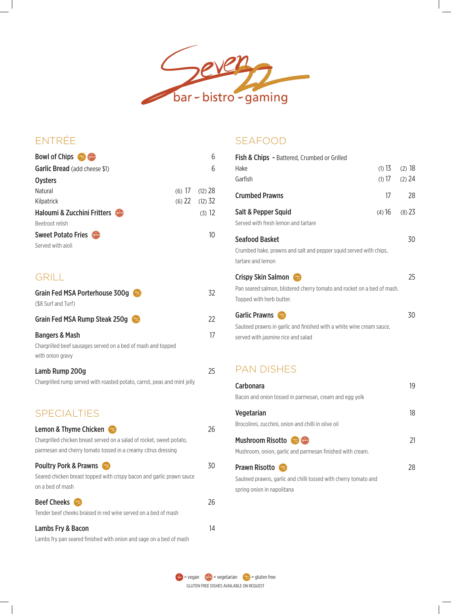

# ENTRÉE

| <b>Bowl of Chips</b><br><u> Vigterien</u> | 6                  |
|-------------------------------------------|--------------------|
| <b>Garlic Bread</b> (add cheese \$1)      | 6                  |
| <b>Oysters</b>                            |                    |
| Natural                                   | $(6)$ 17 $(12)$ 28 |
| Kilpatrick                                | $(6)$ 22 $(12)$ 32 |
| Haloumi & Zucchini Fritters               | (3) 12             |
| Beetroot relish                           |                    |
| <b>Sweet Potato Fries</b><br>Vigitarian   | 10                 |
| Served with aioli                         |                    |
|                                           |                    |

## GRILL

| <b>Grain Fed MSA Porterhouse 300g</b><br>" Gluten"<br>"free" | 32. |
|--------------------------------------------------------------|-----|
| (\$8 Surf and Turf)                                          |     |
| Grain Fed MSA Rump Steak 250g<br>Gluton<br>free              | 22  |
| <b>Bangers &amp; Mash</b>                                    | 17  |
| Chargrilled beef sausages served on a bed of mash and topped |     |
| with onion gravy                                             |     |
| Lamb Rump 200g                                               | 25  |

| Chargrilled rump served with roasted potato, carrot, peas and mint jelly |  |  |  |  |  |
|--------------------------------------------------------------------------|--|--|--|--|--|
|                                                                          |  |  |  |  |  |

## SPECIALTIES

| Lemon & Thyme Chicken<br>Gluten)<br>free                              | 26. |
|-----------------------------------------------------------------------|-----|
| Chargrilled chicken breast served on a salad of rocket, sweet potato, |     |
| parmesan and cherry tomato tossed in a creamy citrus dressing         |     |
| <b>Poultry Pork &amp; Prawns</b>                                      | 30  |
| Seared chicken breast topped with crispy bacon and garlic prawn sauce |     |
| on a bed of mash                                                      |     |
| <b>Beef Cheeks</b><br>Glioten<br>free                                 | 26  |
| Tender beef cheeks braised in red wine served on a bed of mash        |     |
| Lambs Fry & Bacon                                                     | I4  |

Lambs fry pan seared finished with onion and sage on a bed of mash

## SEAFOOD

| Fish & Chips - Battered, Crumbed or Grilled                             |          |          |
|-------------------------------------------------------------------------|----------|----------|
| Hake                                                                    | (1) $13$ | (2) 18   |
| Garfish                                                                 | $(1)$ 17 | $(2)$ 24 |
| <b>Crumbed Prawns</b>                                                   | 17       | 28       |
| Salt & Pepper Squid                                                     | (4) 16   | (8) 23   |
| Served with fresh lemon and tartare                                     |          |          |
| <b>Seafood Basket</b>                                                   |          | 30       |
| Crumbed hake, prawns and salt and pepper squid served with chips,       |          |          |
| tartare and lemon                                                       |          |          |
| <b>Crispy Skin Salmon</b>                                               |          | 25       |
| Pan seared salmon, blistered cherry tomato and rocket on a bed of mash. |          |          |
| Topped with herb butter.                                                |          |          |
| <b>Garlic Prawns</b>                                                    |          | 30       |
| Sauteed prawns in garlic and finished with a white wine cream sauce,    |          |          |
| served with jasmine rice and salad                                      |          |          |

## PAN DISHES

| <b>Carbonara</b>                                                | 19  |
|-----------------------------------------------------------------|-----|
| Bacon and onion tossed in parmesan, cream and egg yolk          |     |
| <b>Vegetarian</b>                                               | 18. |
| Brocolinni, zucchini, onion and chilli in olive oil             |     |
| <b>Mushroom Risotto</b><br>Vigetorion                           |     |
| Mushroom, onion, garlic and parmesan finished with cream.       |     |
| <b>Prawn Risotto</b><br>Stuten<br>free                          | 28  |
| Sauteed prawns, garlic and chilli tossed with cherry tomato and |     |
| spring onion in napolitana                                      |     |